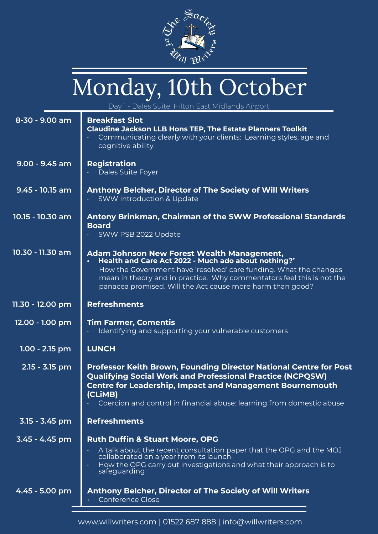

# Monday, 10th October

Dales Suite, Hilton East Midlands Airpo

| $8-30 - 9.00$ am | <b>Breakfast Slot</b><br><b>Claudine Jackson LLB Hons TEP, The Estate Planners Toolkit</b><br>Communicating clearly with your clients: Learning styles, age and<br>cognitive ability.                                                                                                                               |
|------------------|---------------------------------------------------------------------------------------------------------------------------------------------------------------------------------------------------------------------------------------------------------------------------------------------------------------------|
| $9.00 - 9.45$ am | <b>Registration</b><br>Dales Suite Foyer                                                                                                                                                                                                                                                                            |
| 9.45 - 10.15 am  | <b>Anthony Belcher, Director of The Society of Will Writers</b><br><b>SWW Introduction &amp; Update</b>                                                                                                                                                                                                             |
| 10.15 - 10.30 am | <b>Antony Brinkman, Chairman of the SWW Professional Standards</b><br><b>Board</b><br>SWW PSB 2022 Update                                                                                                                                                                                                           |
| 10.30 - 11.30 am | <b>Adam Johnson New Forest Wealth Management,</b><br>Health and Care Act 2022 - Much ado about nothing?'<br>How the Government have 'resolved' care funding. What the changes<br>mean in theory and in practice. Why commentators feel this is not the<br>panacea promised. Will the Act cause more harm than good? |
| 11.30 - 12.00 pm | <b>Refreshments</b>                                                                                                                                                                                                                                                                                                 |
| 12.00 - 1.00 pm  | <b>Tim Farmer, Comentis</b><br>Identifying and supporting your vulnerable customers                                                                                                                                                                                                                                 |
| $1.00 - 2.15$ pm | <b>LUNCH</b>                                                                                                                                                                                                                                                                                                        |
| 2.15 - 3.15 pm   | <b>Professor Keith Brown, Founding Director National Centre for Post</b><br><b>Qualifying Social Work and Professional Practice (NCPQSW)</b><br><b>Centre for Leadership, Impact and Management Bournemouth</b><br>(CLIMB)<br>Coercion and control in financial abuse: learning from domestic abuse                 |
| 3.15 - 3.45 pm   | <b>Refreshments</b>                                                                                                                                                                                                                                                                                                 |
| 3.45 - 4.45 pm   | <b>Ruth Duffin &amp; Stuart Moore, OPG</b>                                                                                                                                                                                                                                                                          |
|                  | A talk about the recent consultation paper that the OPG and the MOJ<br>collaborated on a year from its launch<br>How the OPG carry out investigations and what their approach is to<br>safeguarding                                                                                                                 |
| 4.45 - 5.00 pm   | <b>Anthony Belcher, Director of The Society of Will Writers</b><br><b>Conference Close</b>                                                                                                                                                                                                                          |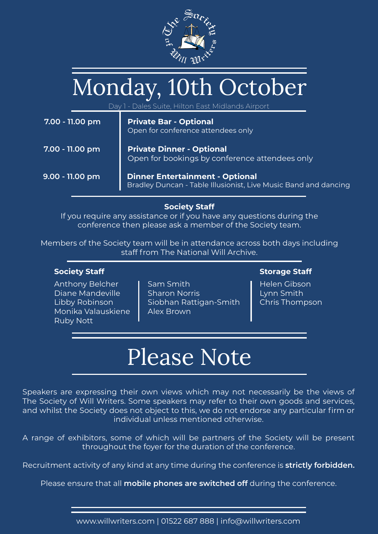

### Monday, 10th October

Day 1 - Dales Suite, Hilton East Midlands Airport

| 7.00 - 11.00 pm | <b>Private Bar - Optional</b><br>Open for conference attendees only                                       |
|-----------------|-----------------------------------------------------------------------------------------------------------|
| 7.00 - 11.00 pm | <b>Private Dinner - Optional</b><br>Open for bookings by conference attendees only                        |
| 9.00 - 11.00 pm | <b>Dinner Entertainment - Optional</b><br>Bradley Duncan - Table Illusionist, Live Music Band and dancing |

**Society Staff** 

If you require any assistance or if you have any questions during the conference then please ask a member of the Society team.

Members of the Society team will be in attendance across both days including staff from The National Will Archive.

#### **Society Staff**

Anthony Belcher Diane Mandeville Libby Robinson Monika Valauskiene Ruby Nott

Sam Smith Sharon Norris Siobhan Rattigan-Smith Alex Brown

#### **Storage Staff**

Helen Gibson Lynn Smith Chris Thompson

### Please Note

Speakers are expressing their own views which may not necessarily be the views of The Society of Will Writers. Some speakers may refer to their own goods and services, and whilst the Society does not object to this, we do not endorse any particular firm or individual unless mentioned otherwise.

A range of exhibitors, some of which will be partners of the Society will be present throughout the foyer for the duration of the conference.

Recruitment activity of any kind at any time during the conference is **strictly forbidden.**

Please ensure that all **mobile phones are switched off** during the conference.